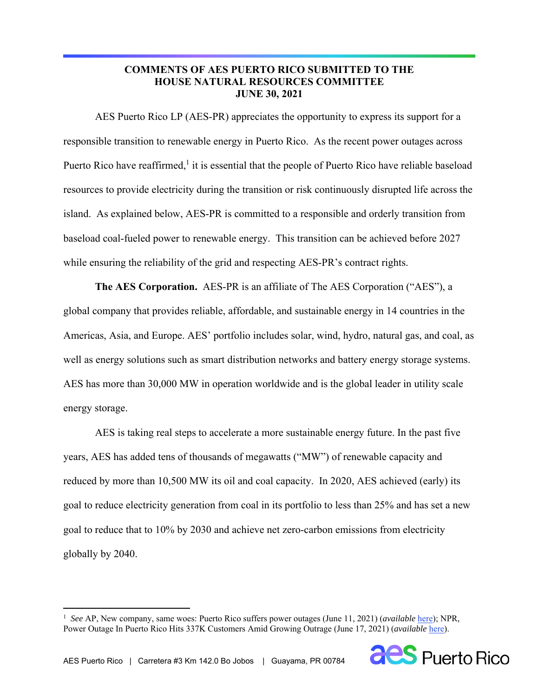# **COMMENTS OF AES PUERTO RICO SUBMITTED TO THE HOUSE NATURAL RESOURCES COMMITTEE JUNE 30, 2021**

AES Puerto Rico LP (AES-PR) appreciates the opportunity to express its support for a responsible transition to renewable energy in Puerto Rico. As the recent power outages across Puerto Rico have reaffirmed, $<sup>1</sup>$  it is essential that the people of Puerto Rico have reliable baseload</sup> resources to provide electricity during the transition or risk continuously disrupted life across the island. As explained below, AES-PR is committed to a responsible and orderly transition from baseload coal-fueled power to renewable energy. This transition can be achieved before 2027 while ensuring the reliability of the grid and respecting AES-PR's contract rights.

**The AES Corporation.** AES-PR is an affiliate of The AES Corporation ("AES"), a global company that provides reliable, affordable, and sustainable energy in 14 countries in the Americas, Asia, and Europe. AES' portfolio includes solar, wind, hydro, natural gas, and coal, as well as energy solutions such as smart distribution networks and battery energy storage systems. AES has more than 30,000 MW in operation worldwide and is the global leader in utility scale energy storage.

AES is taking real steps to accelerate a more sustainable energy future. In the past five years, AES has added tens of thousands of megawatts ("MW") of renewable capacity and reduced by more than 10,500 MW its oil and coal capacity. In 2020, AES achieved (early) its goal to reduce electricity generation from coal in its portfolio to less than 25% and has set a new goal to reduce that to 10% by 2030 and achieve net zero-carbon emissions from electricity globally by 2040.

<sup>&</sup>lt;sup>1</sup> See AP, New company, same woes: Puerto Rico suffers power outages (June 11, 2021) (*available* here); NPR, Power Outage In Puerto Rico Hits 337K Customers Amid Growing Outrage (June 17, 2021) (*available* here).

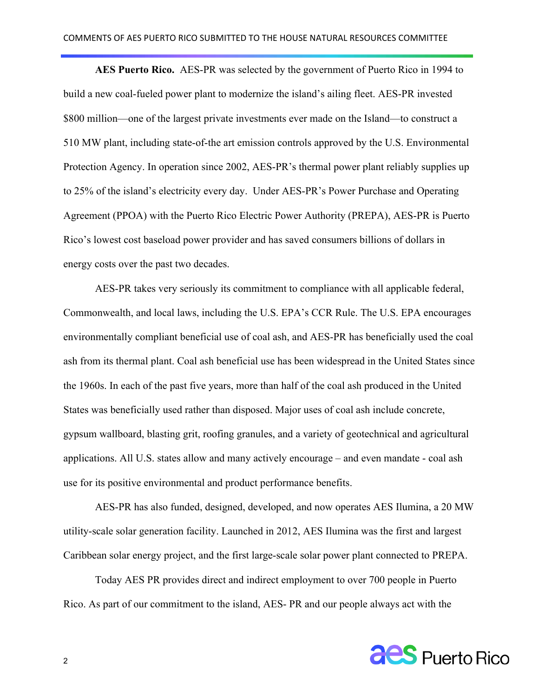**AES Puerto Rico.** AES-PR was selected by the government of Puerto Rico in 1994 to build a new coal-fueled power plant to modernize the island's ailing fleet. AES-PR invested \$800 million—one of the largest private investments ever made on the Island—to construct a 510 MW plant, including state-of-the art emission controls approved by the U.S. Environmental Protection Agency. In operation since 2002, AES-PR's thermal power plant reliably supplies up to 25% of the island's electricity every day. Under AES-PR's Power Purchase and Operating Agreement (PPOA) with the Puerto Rico Electric Power Authority (PREPA), AES-PR is Puerto Rico's lowest cost baseload power provider and has saved consumers billions of dollars in energy costs over the past two decades.

AES-PR takes very seriously its commitment to compliance with all applicable federal, Commonwealth, and local laws, including the U.S. EPA's CCR Rule. The U.S. EPA encourages environmentally compliant beneficial use of coal ash, and AES-PR has beneficially used the coal ash from its thermal plant. Coal ash beneficial use has been widespread in the United States since the 1960s. In each of the past five years, more than half of the coal ash produced in the United States was beneficially used rather than disposed. Major uses of coal ash include concrete, gypsum wallboard, blasting grit, roofing granules, and a variety of geotechnical and agricultural applications. All U.S. states allow and many actively encourage – and even mandate - coal ash use for its positive environmental and product performance benefits.

AES-PR has also funded, designed, developed, and now operates AES Ilumina, a 20 MW utility-scale solar generation facility. Launched in 2012, AES Ilumina was the first and largest Caribbean solar energy project, and the first large-scale solar power plant connected to PREPA.

Today AES PR provides direct and indirect employment to over 700 people in Puerto Rico. As part of our commitment to the island, AES- PR and our people always act with the

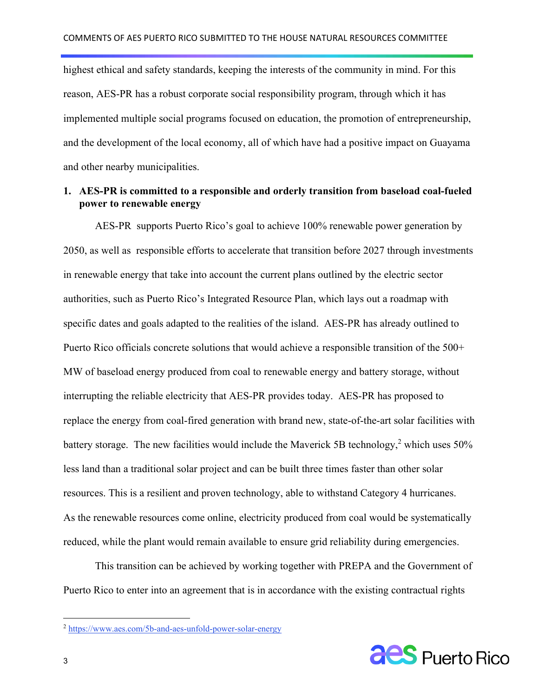highest ethical and safety standards, keeping the interests of the community in mind. For this reason, AES-PR has a robust corporate social responsibility program, through which it has implemented multiple social programs focused on education, the promotion of entrepreneurship, and the development of the local economy, all of which have had a positive impact on Guayama and other nearby municipalities.

#### **1. AES-PR is committed to a responsible and orderly transition from baseload coal-fueled power to renewable energy**

AES-PR supports Puerto Rico's goal to achieve 100% renewable power generation by 2050, as well as responsible efforts to accelerate that transition before 2027 through investments in renewable energy that take into account the current plans outlined by the electric sector authorities, such as Puerto Rico's Integrated Resource Plan, which lays out a roadmap with specific dates and goals adapted to the realities of the island. AES-PR has already outlined to Puerto Rico officials concrete solutions that would achieve a responsible transition of the 500+ MW of baseload energy produced from coal to renewable energy and battery storage, without interrupting the reliable electricity that AES-PR provides today. AES-PR has proposed to replace the energy from coal-fired generation with brand new, state-of-the-art solar facilities with battery storage. The new facilities would include the Maverick 5B technology,<sup>2</sup> which uses 50% less land than a traditional solar project and can be built three times faster than other solar resources. This is a resilient and proven technology, able to withstand Category 4 hurricanes. As the renewable resources come online, electricity produced from coal would be systematically reduced, while the plant would remain available to ensure grid reliability during emergencies.

This transition can be achieved by working together with PREPA and the Government of Puerto Rico to enter into an agreement that is in accordance with the existing contractual rights



<sup>2</sup> https://www.aes.com/5b-and-aes-unfold-power-solar-energy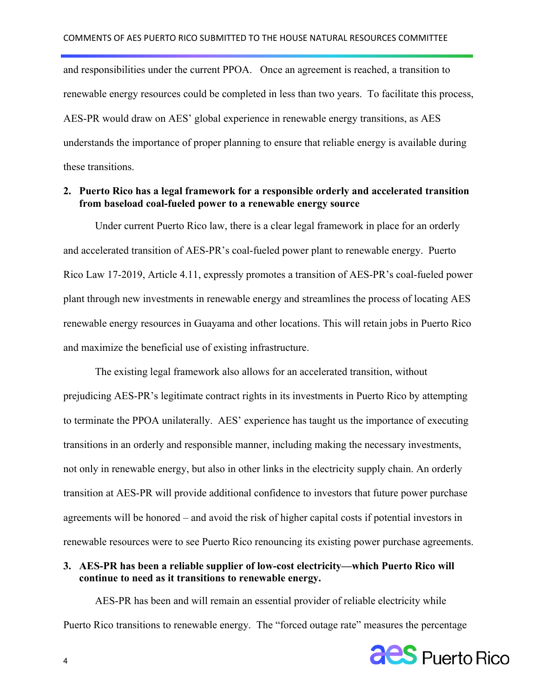and responsibilities under the current PPOA. Once an agreement is reached, a transition to renewable energy resources could be completed in less than two years. To facilitate this process, AES-PR would draw on AES' global experience in renewable energy transitions, as AES understands the importance of proper planning to ensure that reliable energy is available during these transitions.

#### **2. Puerto Rico has a legal framework for a responsible orderly and accelerated transition from baseload coal-fueled power to a renewable energy source**

Under current Puerto Rico law, there is a clear legal framework in place for an orderly and accelerated transition of AES-PR's coal-fueled power plant to renewable energy. Puerto Rico Law 17-2019, Article 4.11, expressly promotes a transition of AES-PR's coal-fueled power plant through new investments in renewable energy and streamlines the process of locating AES renewable energy resources in Guayama and other locations. This will retain jobs in Puerto Rico and maximize the beneficial use of existing infrastructure.

The existing legal framework also allows for an accelerated transition, without prejudicing AES-PR's legitimate contract rights in its investments in Puerto Rico by attempting to terminate the PPOA unilaterally. AES' experience has taught us the importance of executing transitions in an orderly and responsible manner, including making the necessary investments, not only in renewable energy, but also in other links in the electricity supply chain. An orderly transition at AES-PR will provide additional confidence to investors that future power purchase agreements will be honored – and avoid the risk of higher capital costs if potential investors in renewable resources were to see Puerto Rico renouncing its existing power purchase agreements.

# **3. AES-PR has been a reliable supplier of low-cost electricity—which Puerto Rico will continue to need as it transitions to renewable energy.**

AES-PR has been and will remain an essential provider of reliable electricity while Puerto Rico transitions to renewable energy. The "forced outage rate" measures the percentage

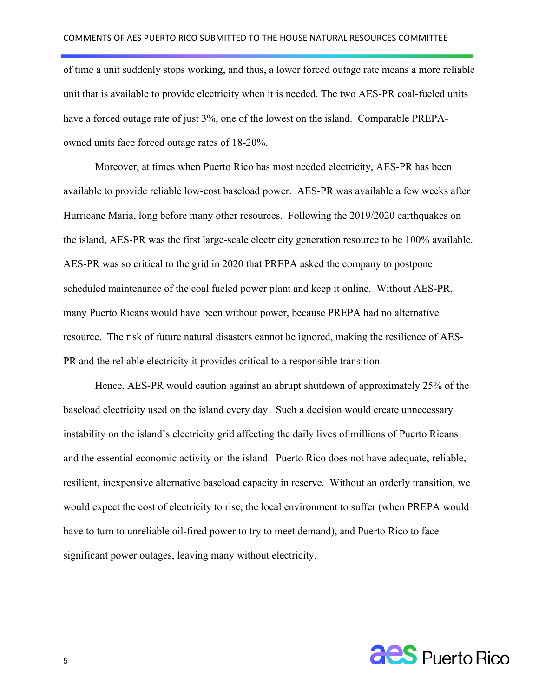of time a unit suddenly stops working, and thus, a lower forced outage rate means a more reliable unit that is available to provide electricity when it is needed. The two AES-PR coal-fueled units have a forced outage rate of just 3%, one of the lowest on the island. Comparable PREPAowned units face forced outage rates of 18-20%.

Moreover, at times when Puerto Rico has most needed electricity, AES-PR has been available to provide reliable low-cost baseload power. AES-PR was available a few weeks after Hurricane Maria, long before many other resources. Following the 2019/2020 earthquakes on the island, AES-PR was the first large-scale electricity generation resource to be 100% available. AES-PR was so critical to the grid in 2020 that PREPA asked the company to postpone scheduled maintenance of the coal fueled power plant and keep it online. Without AES-PR, many Puerto Ricans would have been without power, because PREPA had no alternative resource. The risk of future natural disasters cannot be ignored, making the resilience of AES-PR and the reliable electricity it provides critical to a responsible transition.

Hence, AES-PR would caution against an abrupt shutdown of approximately 25% of the baseload electricity used on the island every day. Such a decision would create unnecessary instability on the island's electricity grid affecting the daily lives of millions of Puerto Ricans and the essential economic activity on the island. Puerto Rico does not have adequate, reliable, resilient, inexpensive alternative baseload capacity in reserve. Without an orderly transition, we would expect the cost of electricity to rise, the local environment to suffer (when PREPA would have to turn to unreliable oil-fired power to try to meet demand), and Puerto Rico to face significant power outages, leaving many without electricity.

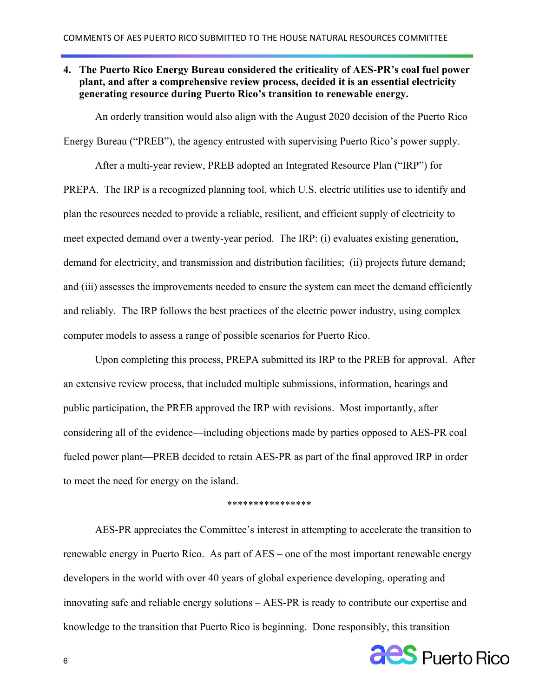# **4. The Puerto Rico Energy Bureau considered the criticality of AES-PR's coal fuel power plant, and after a comprehensive review process, decided it is an essential electricity generating resource during Puerto Rico's transition to renewable energy.**

An orderly transition would also align with the August 2020 decision of the Puerto Rico

Energy Bureau ("PREB"), the agency entrusted with supervising Puerto Rico's power supply.

After a multi-year review, PREB adopted an Integrated Resource Plan ("IRP") for PREPA. The IRP is a recognized planning tool, which U.S. electric utilities use to identify and plan the resources needed to provide a reliable, resilient, and efficient supply of electricity to meet expected demand over a twenty-year period. The IRP: (i) evaluates existing generation, demand for electricity, and transmission and distribution facilities; (ii) projects future demand; and (iii) assesses the improvements needed to ensure the system can meet the demand efficiently and reliably. The IRP follows the best practices of the electric power industry, using complex computer models to assess a range of possible scenarios for Puerto Rico.

Upon completing this process, PREPA submitted its IRP to the PREB for approval. After an extensive review process, that included multiple submissions, information, hearings and public participation, the PREB approved the IRP with revisions. Most importantly, after considering all of the evidence—including objections made by parties opposed to AES-PR coal fueled power plant—PREB decided to retain AES-PR as part of the final approved IRP in order to meet the need for energy on the island.

#### \*\*\*\*\*\*\*\*\*\*\*\*\*\*\*

AES-PR appreciates the Committee's interest in attempting to accelerate the transition to renewable energy in Puerto Rico. As part of AES – one of the most important renewable energy developers in the world with over 40 years of global experience developing, operating and innovating safe and reliable energy solutions – AES-PR is ready to contribute our expertise and knowledge to the transition that Puerto Rico is beginning. Done responsibly, this transition